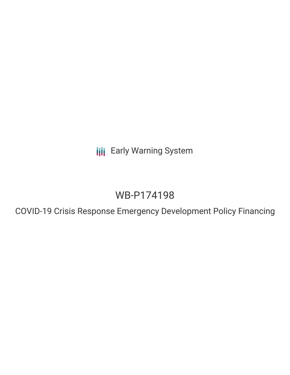**III** Early Warning System

# WB-P174198

COVID-19 Crisis Response Emergency Development Policy Financing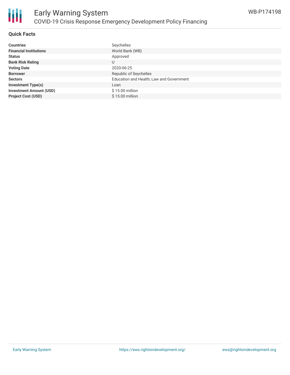

# **Quick Facts**

| <b>Countries</b>               | Seychelles                               |
|--------------------------------|------------------------------------------|
| <b>Financial Institutions</b>  | World Bank (WB)                          |
| <b>Status</b>                  | Approved                                 |
| <b>Bank Risk Rating</b>        | U                                        |
| <b>Voting Date</b>             | 2020-06-25                               |
| <b>Borrower</b>                | Republic of Seychelles                   |
| <b>Sectors</b>                 | Education and Health, Law and Government |
| <b>Investment Type(s)</b>      | Loan                                     |
| <b>Investment Amount (USD)</b> | $$15.00$ million                         |
| <b>Project Cost (USD)</b>      | $$15.00$ million                         |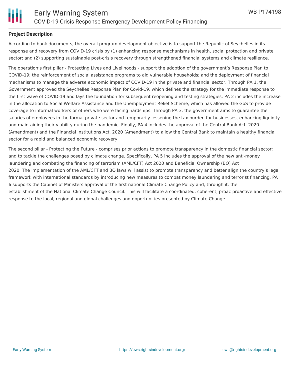

### **Project Description**

According to bank documents, the overall program development objective is to support the Republic of Seychelles in its response and recovery from COVID-19 crisis by (1) enhancing response mechanisms in health, social protection and private sector; and (2) supporting sustainable post-crisis recovery through strengthened financial systems and climate resilience.

The operation's first pillar - Protecting Lives and Livelihoods - support the adoption of the government's Response Plan to COVID-19; the reinforcement of social assistance programs to aid vulnerable households; and the deployment of financial mechanisms to manage the adverse economic impact of COVID-19 in the private and financial sector. Through PA 1, the Government approved the Seychelles Response Plan for Covid-19, which defines the strategy for the immediate response to the first wave of COVID-19 and lays the foundation for subsequent reopening and testing strategies. PA 2 includes the increase in the allocation to Social Welfare Assistance and the Unemployment Relief Scheme, which has allowed the GoS to provide coverage to informal workers or others who were facing hardships. Through PA 3, the government aims to guarantee the salaries of employees in the formal private sector and temporarily lessening the tax burden for businesses, enhancing liquidity and maintaining their viability during the pandemic. Finally, PA 4 includes the approval of the Central Bank Act, 2020 (Amendment) and the Financial Institutions Act, 2020 (Amendment) to allow the Central Bank to maintain a healthy financial sector for a rapid and balanced economic recovery.

The second pillar - Protecting the Future - comprises prior actions to promote transparency in the domestic financial sector; and to tackle the challenges posed by climate change. Specifically, PA 5 includes the approval of the new anti-money laundering and combating the financing of terrorism (AML/CFT) Act 2020 and Beneficial Ownership (BO) Act 2020. The implementation of the AML/CFT and BO laws will assist to promote transparency and better align the country's legal framework with international standards by introducing new measures to combat money laundering and terrorist financing. PA 6 supports the Cabinet of Ministers approval of the first national Climate Change Policy and, through it, the establishment of the National Climate Change Council. This will facilitate a coordinated, coherent, proac proactive and effective response to the local, regional and global challenges and opportunities presented by Climate Change.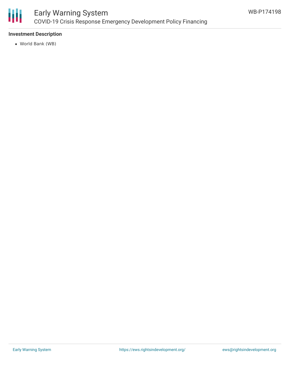

# **Investment Description**

World Bank (WB)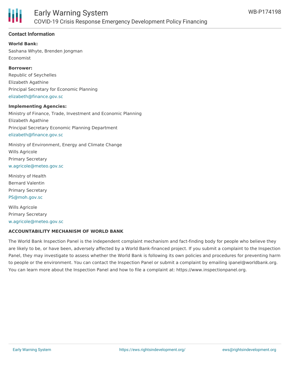

# **Contact Information**

**World Bank:** Sashana Whyte, Brenden Jongman Economist

**Borrower:**

Republic of Seychelles Elizabeth Agathine Principal Secretary for Economic Planning [elizabeth@finance.gov.sc](mailto:elizabeth@finance.gov.sc)

#### **Implementing Agencies:**

Ministry of Finance, Trade, Investment and Economic Planning Elizabeth Agathine Principal Secretary Economic Planning Department [elizabeth@finance.gov.sc](mailto:elizabeth@finance.gov.sc)

Ministry of Environment, Energy and Climate Change Wills Agricole Primary Secretary [w.agricole@meteo.gov.sc](mailto:w.agricole@meteo.gov.sc)

Ministry of Health Bernard Valentin Primary Secretary [PS@moh.gov.sc](mailto:PS@moh.gov.sc)

Wills Agricole Primary Secretary [w.agricole@meteo.gov.sc](mailto:w.agricole@meteo.gov.sc)

#### **ACCOUNTABILITY MECHANISM OF WORLD BANK**

The World Bank Inspection Panel is the independent complaint mechanism and fact-finding body for people who believe they are likely to be, or have been, adversely affected by a World Bank-financed project. If you submit a complaint to the Inspection Panel, they may investigate to assess whether the World Bank is following its own policies and procedures for preventing harm to people or the environment. You can contact the Inspection Panel or submit a complaint by emailing ipanel@worldbank.org. You can learn more about the Inspection Panel and how to file a complaint at: https://www.inspectionpanel.org.